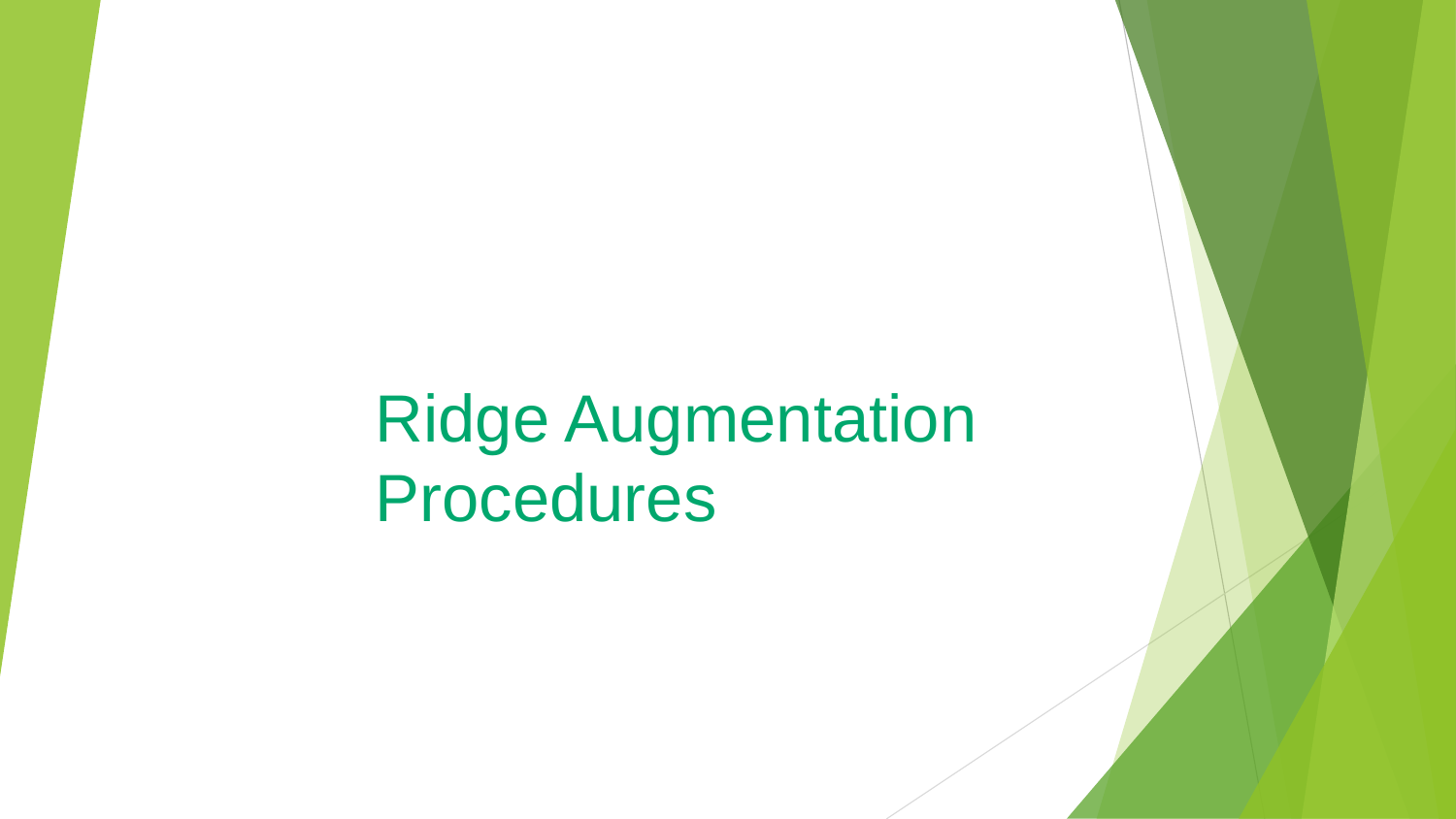# Ridge Augmentation Procedures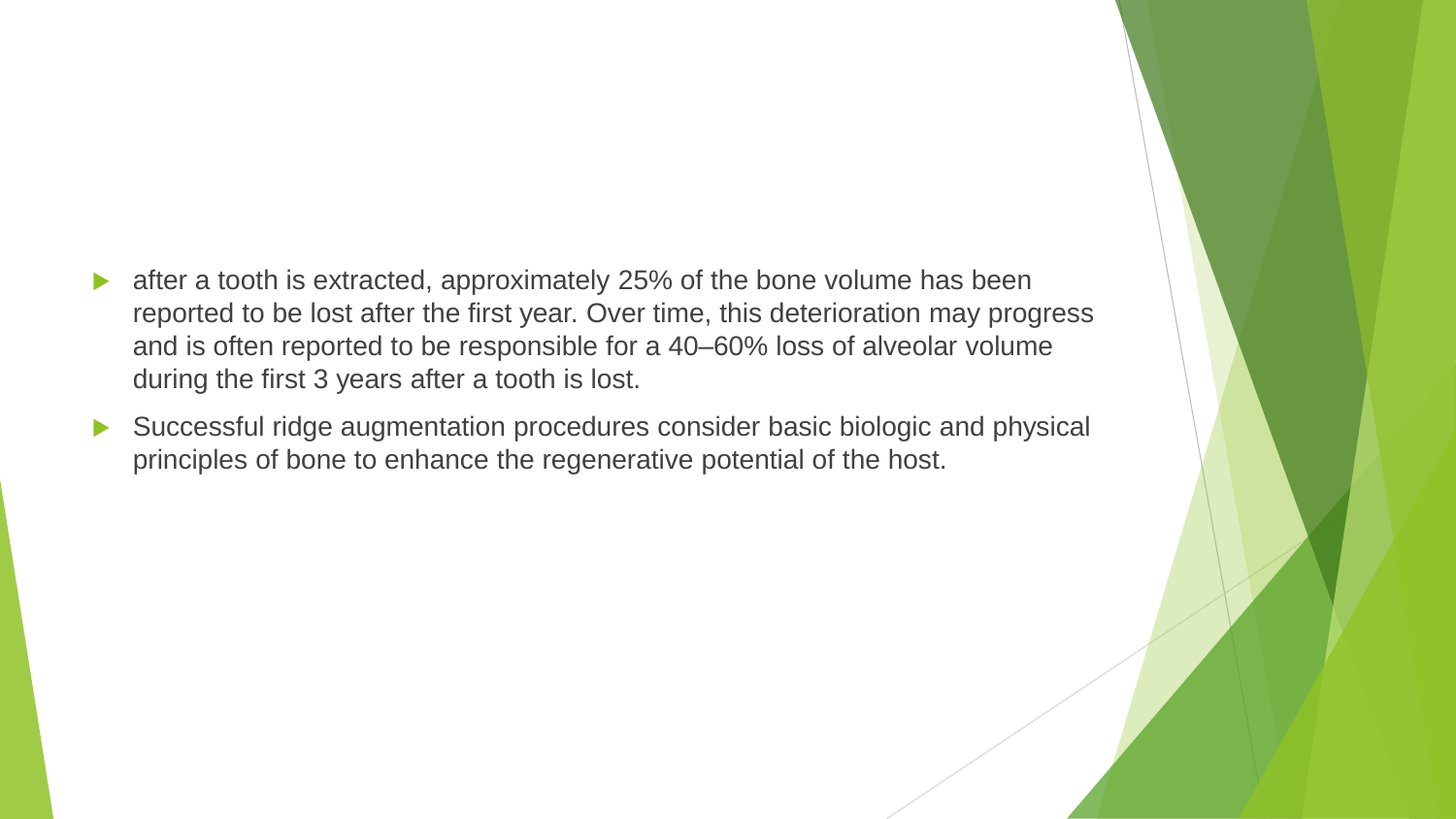- after a tooth is extracted, approximately 25% of the bone volume has been reported to be lost after the first year. Over time, this deterioration may progress and is often reported to be responsible for a 40–60% loss of alveolar volume during the first 3 years after a tooth is lost.
- Successful ridge augmentation procedures consider basic biologic and physical principles of bone to enhance the regenerative potential of the host.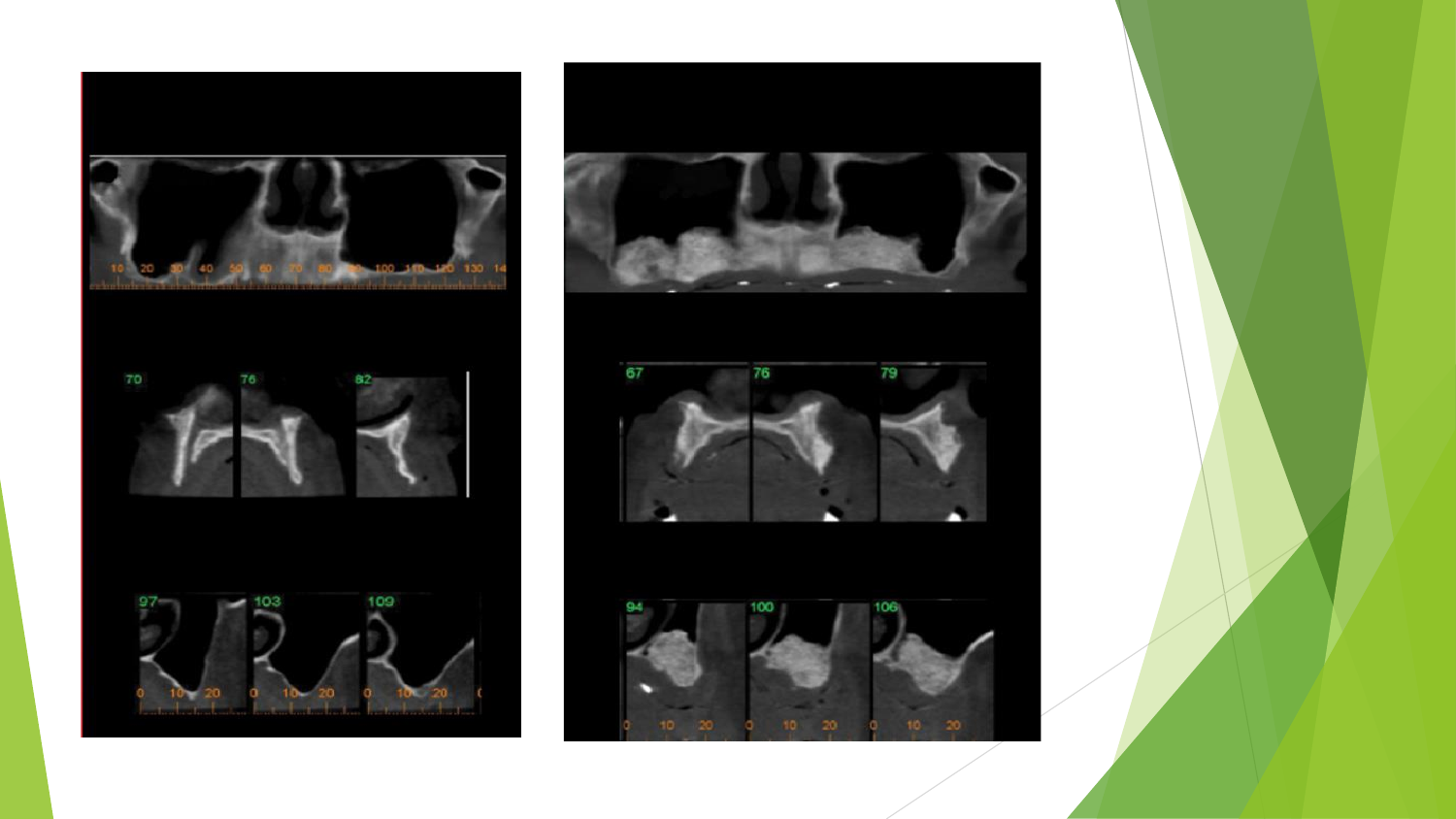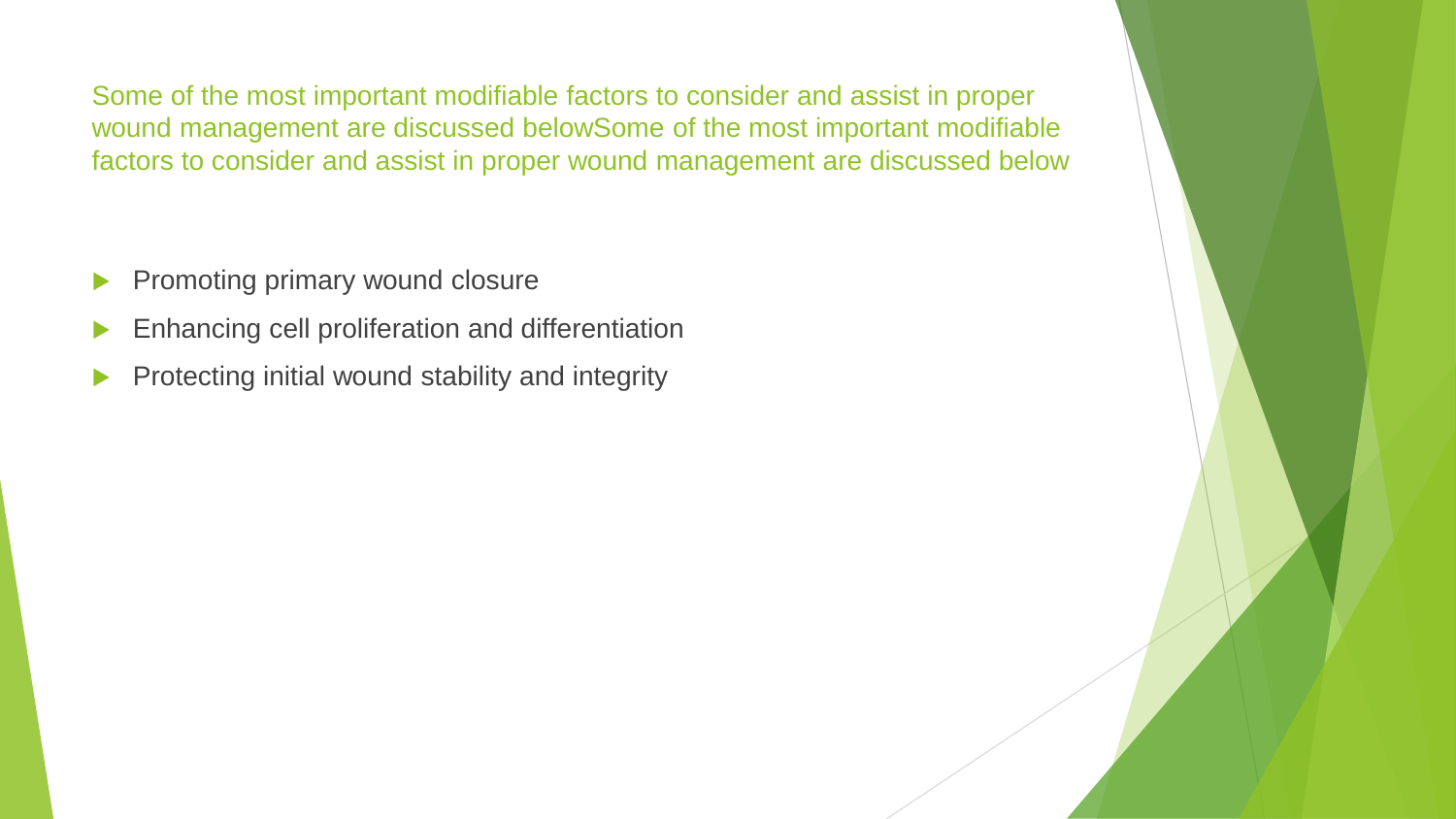Some of the most important modifiable factors to consider and assist in proper wound management are discussed belowSome of the most important modifiable factors to consider and assist in proper wound management are discussed below

- Promoting primary wound closure
- Enhancing cell proliferation and differentiation
- Protecting initial wound stability and integrity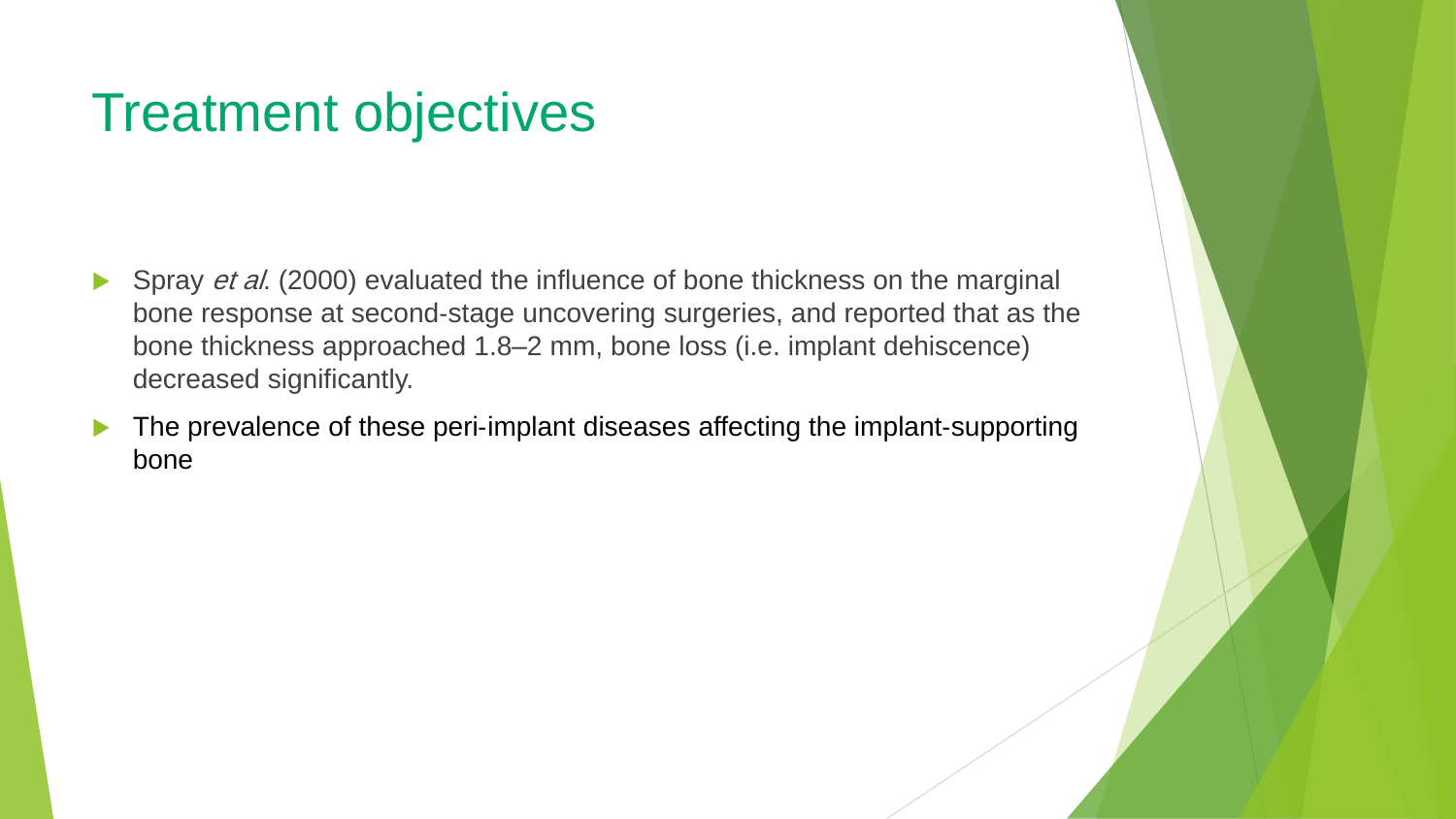#### Treatment objectives

- Spray *et al.* (2000) evaluated the influence of bone thickness on the marginal bone response at second‐stage uncovering surgeries, and reported that as the bone thickness approached 1.8–2 mm, bone loss (i.e. implant dehiscence) decreased significantly.
- ▶ The prevalence of these peri-implant diseases affecting the implant-supporting bone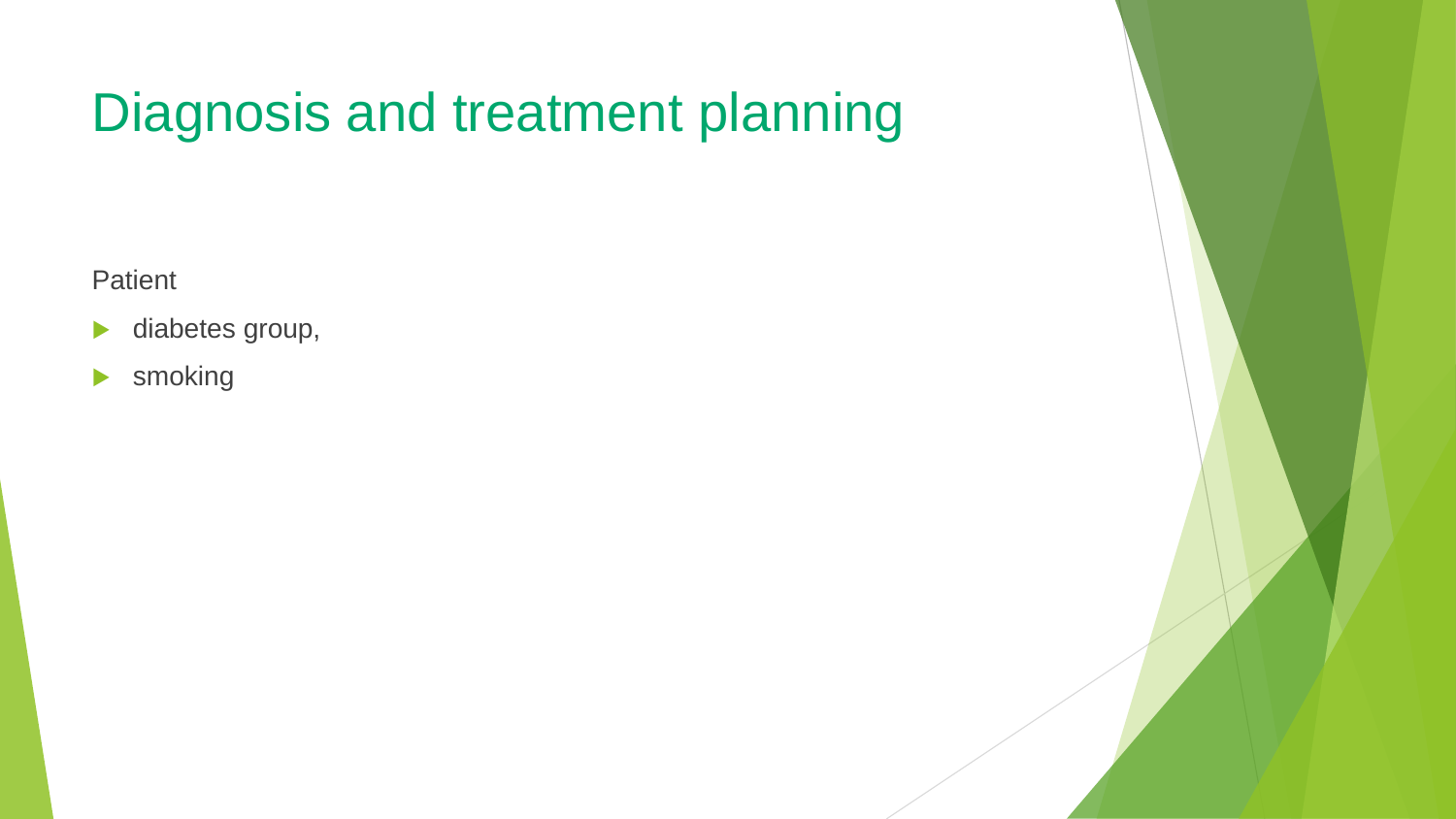#### Diagnosis and treatment planning

Patient

- **diabetes group,**
- **Smoking**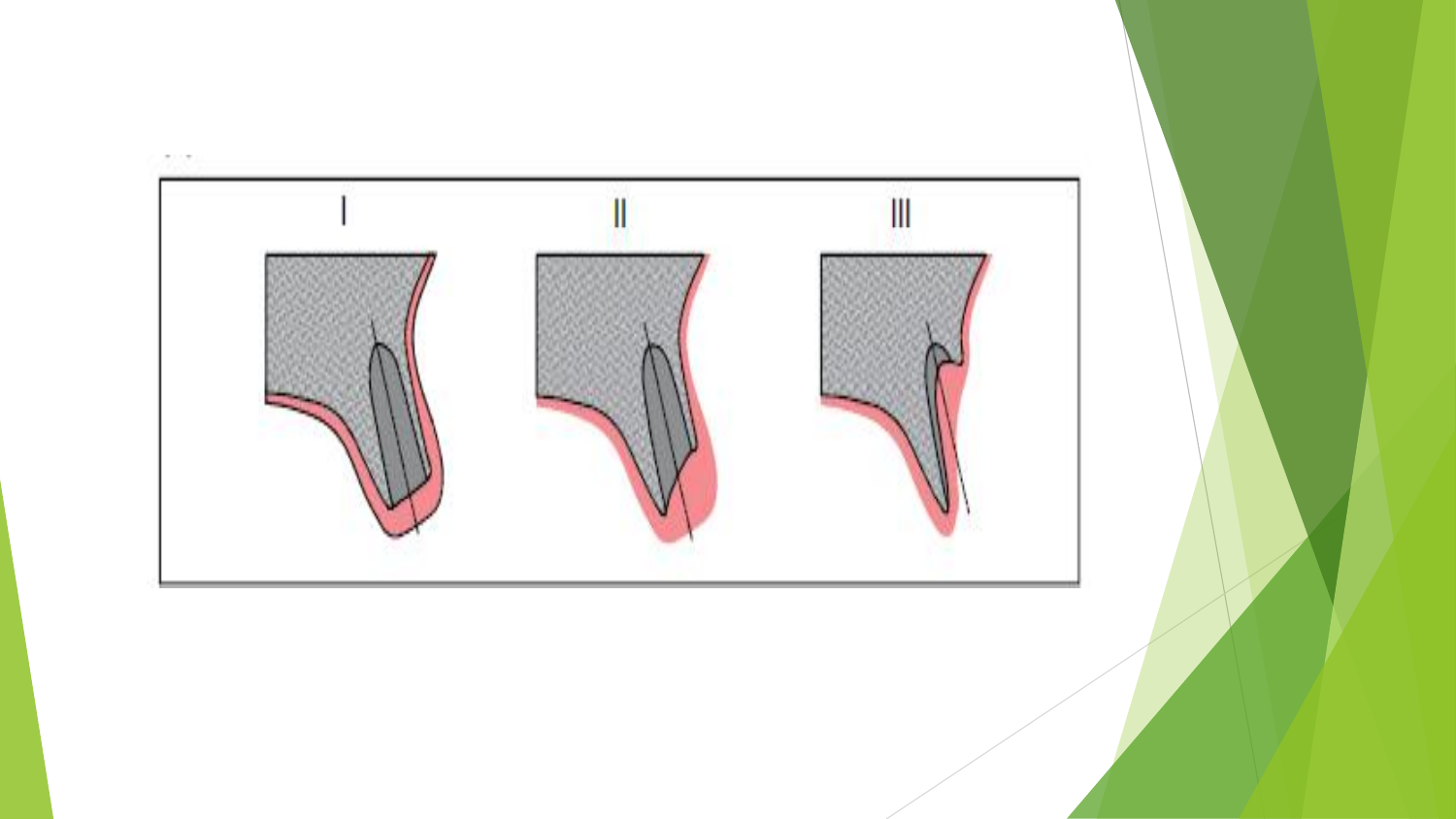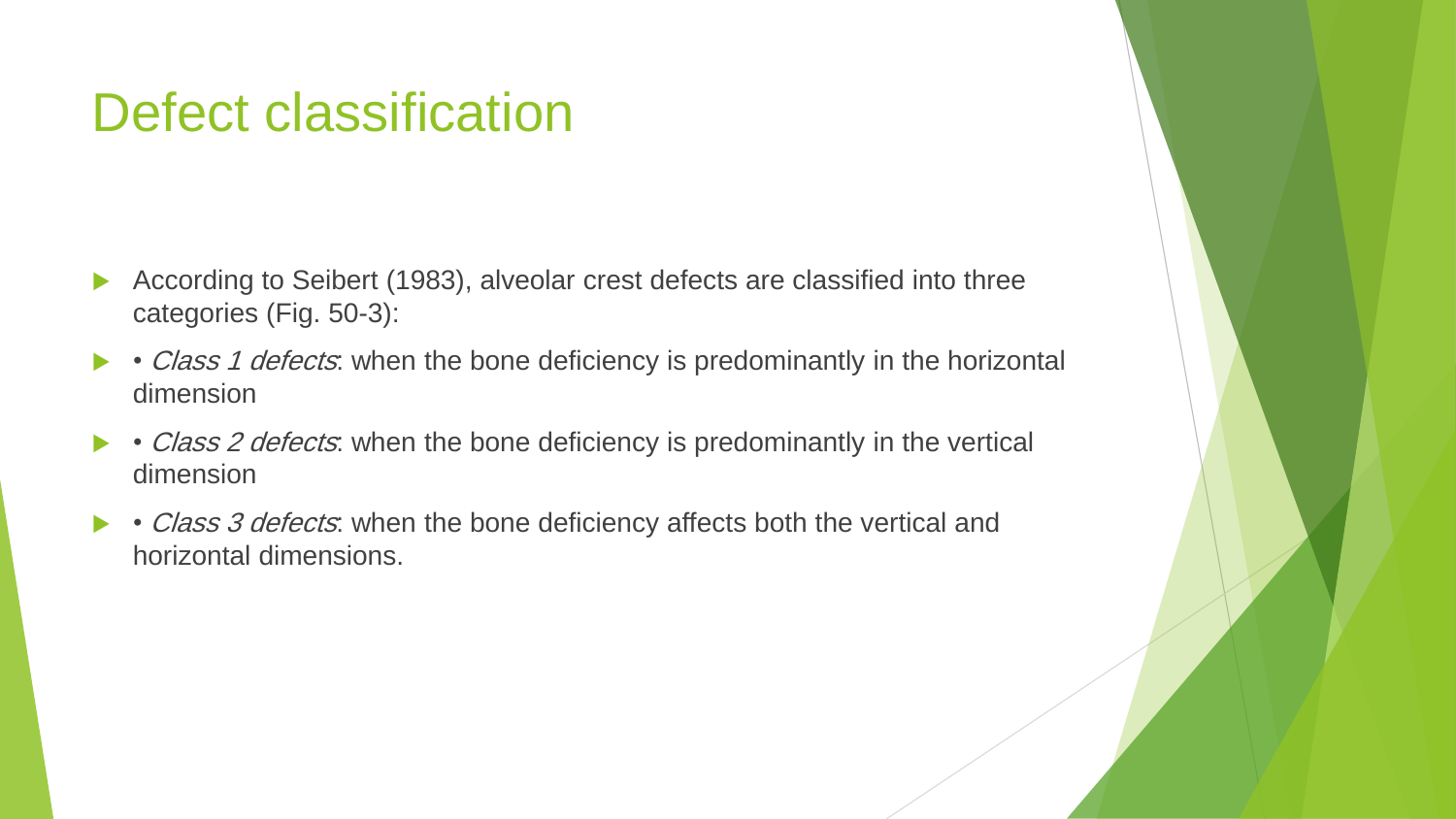#### Defect classification

- ▶ According to Seibert (1983), alveolar crest defects are classified into three categories (Fig. 50-3):
- Class 1 defects: when the bone deficiency is predominantly in the horizontal dimension
- Class 2 defects: when the bone deficiency is predominantly in the vertical dimension
- *Class 3 defects*: when the bone deficiency affects both the vertical and horizontal dimensions.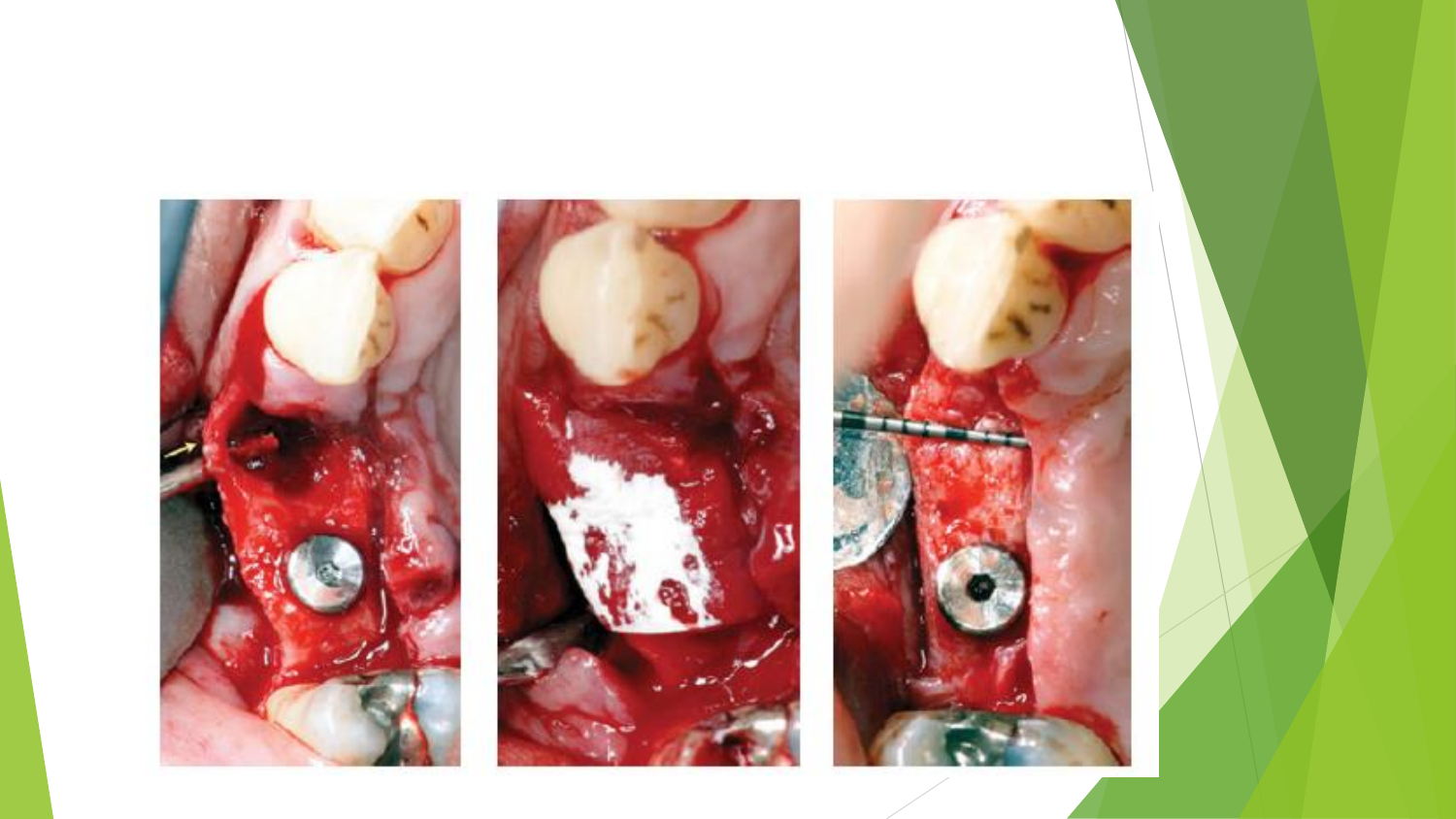



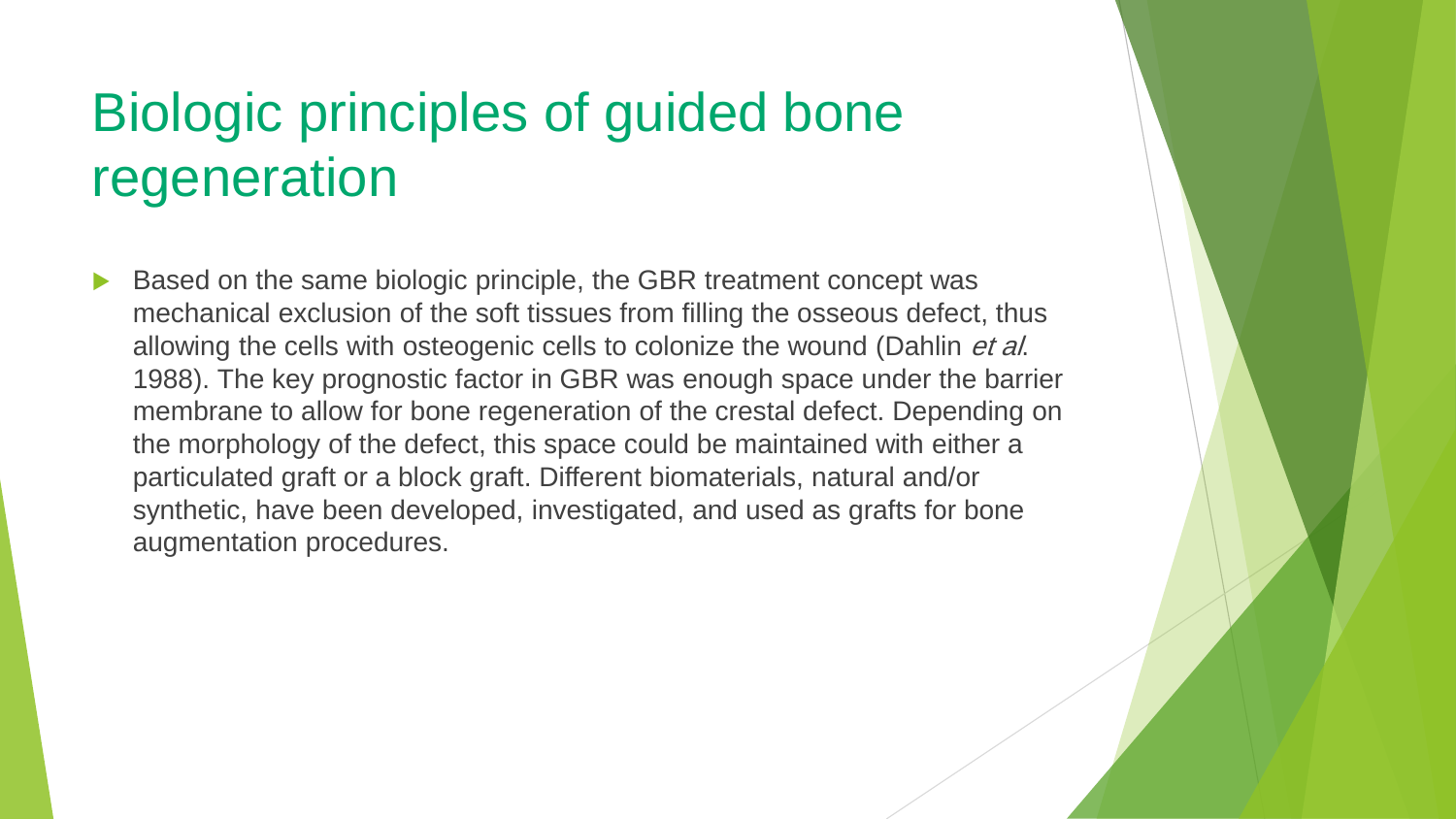### Biologic principles of guided bone regeneration

 Based on the same biologic principle, the GBR treatment concept was mechanical exclusion of the soft tissues from filling the osseous defect, thus allowing the cells with osteogenic cells to colonize the wound (Dahlin et al. 1988). The key prognostic factor in GBR was enough space under the barrier membrane to allow for bone regeneration of the crestal defect. Depending on the morphology of the defect, this space could be maintained with either a particulated graft or a block graft. Different biomaterials, natural and/or synthetic, have been developed, investigated, and used as grafts for bone augmentation procedures.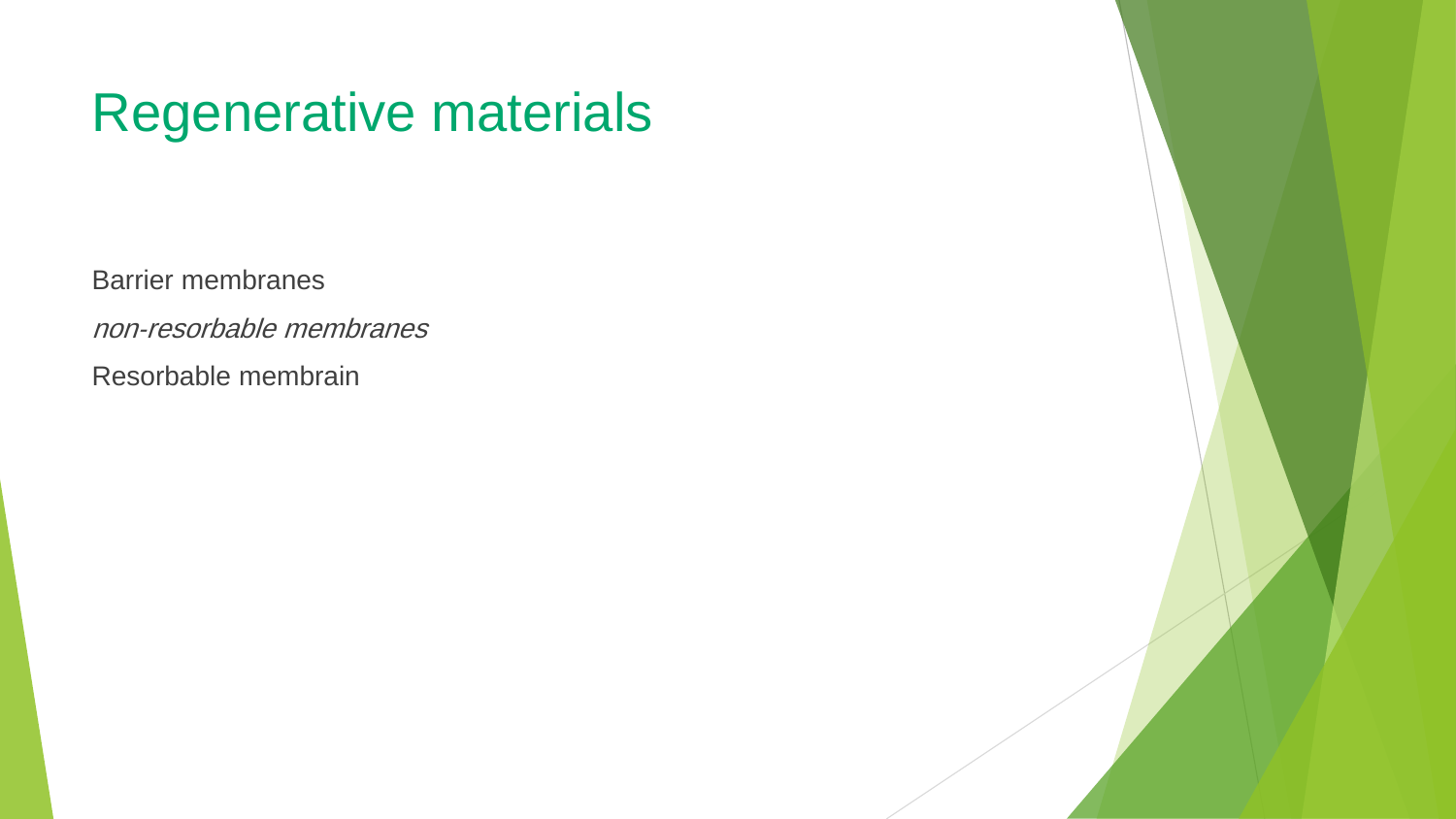#### Regenerative materials

Barrier membranes

non‐resorbable membranes

Resorbable membrain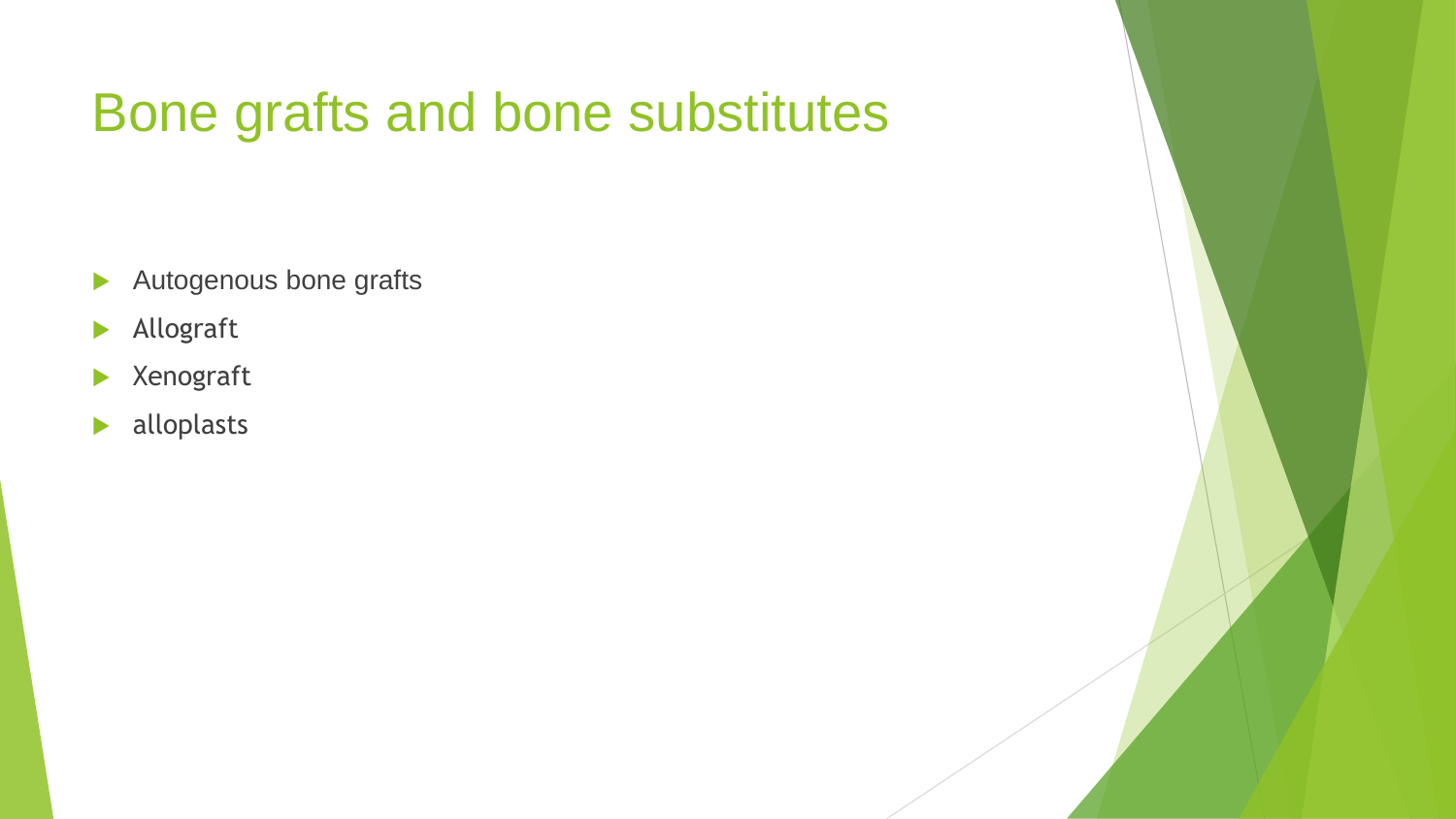#### Bone grafts and bone substitutes

- Autogenous bone grafts
- **Allograft**
- Xenograft
- **alloplasts**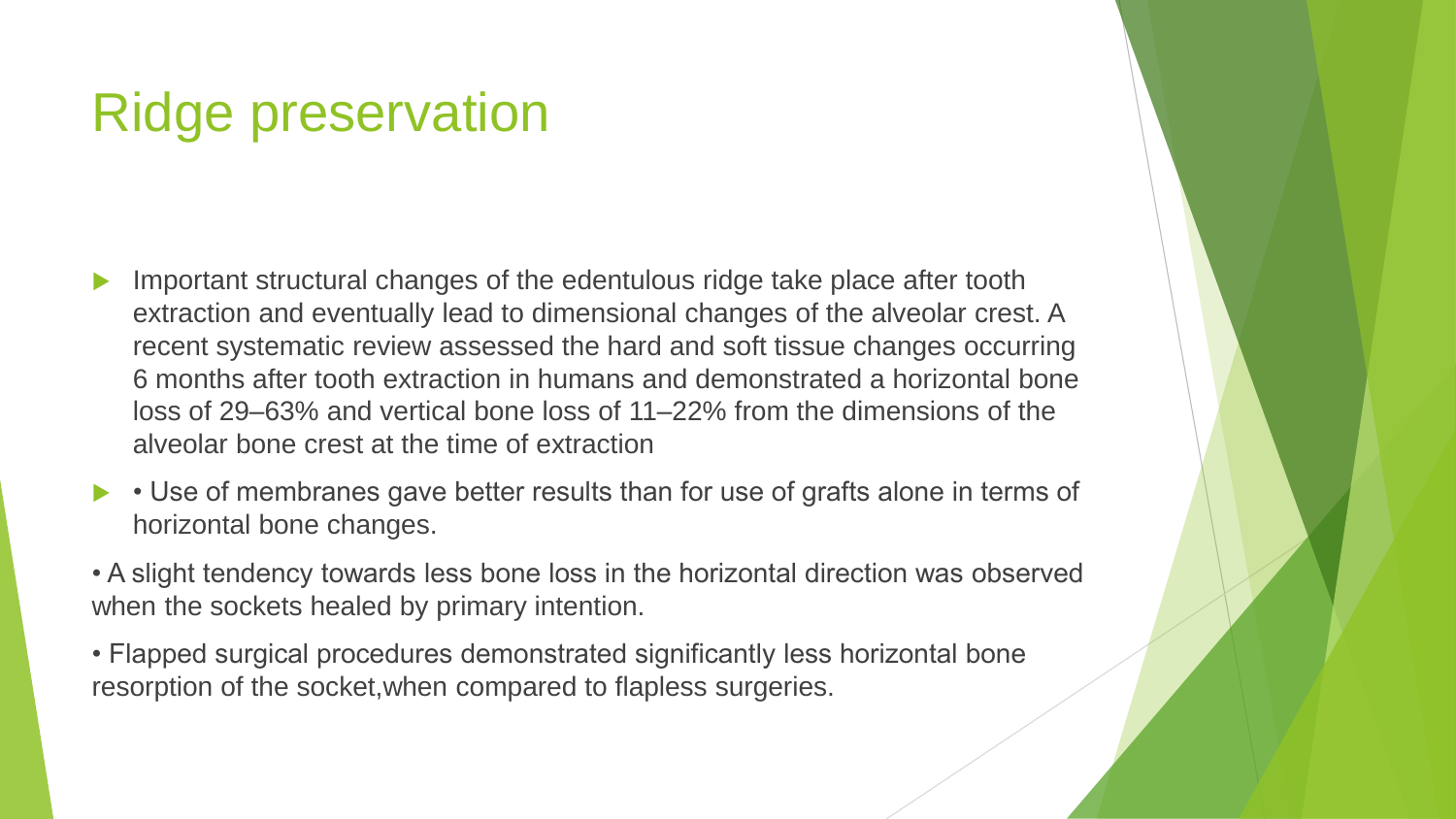### Ridge preservation

- Important structural changes of the edentulous ridge take place after tooth extraction and eventually lead to dimensional changes of the alveolar crest. A recent systematic review assessed the hard and soft tissue changes occurring 6 months after tooth extraction in humans and demonstrated a horizontal bone loss of 29–63% and vertical bone loss of 11–22% from the dimensions of the alveolar bone crest at the time of extraction
- Use of membranes gave better results than for use of grafts alone in terms of horizontal bone changes.
- A slight tendency towards less bone loss in the horizontal direction was observed when the sockets healed by primary intention.
- Flapped surgical procedures demonstrated significantly less horizontal bone resorption of the socket,when compared to flapless surgeries.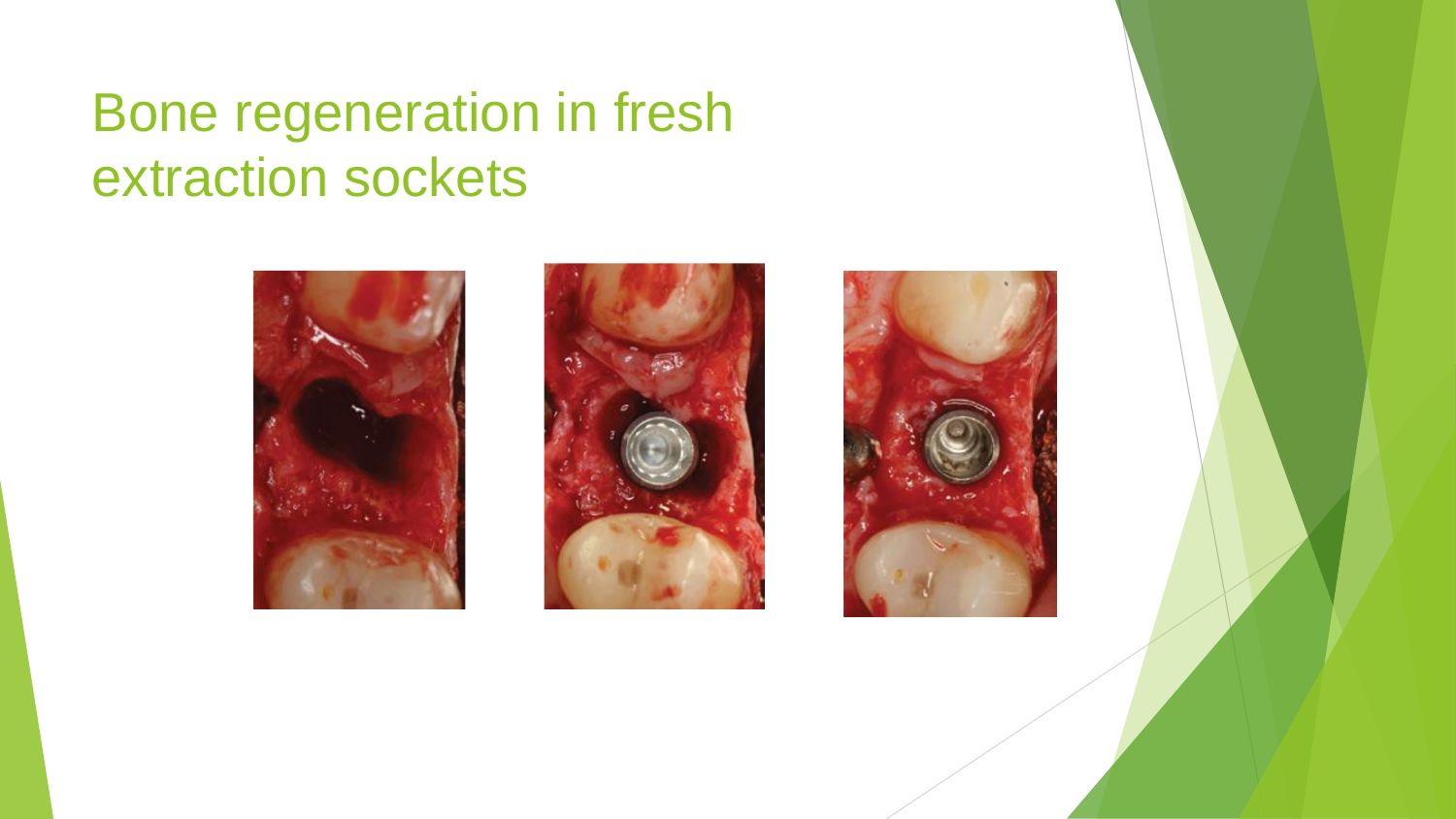### Bone regeneration in fresh extraction sockets





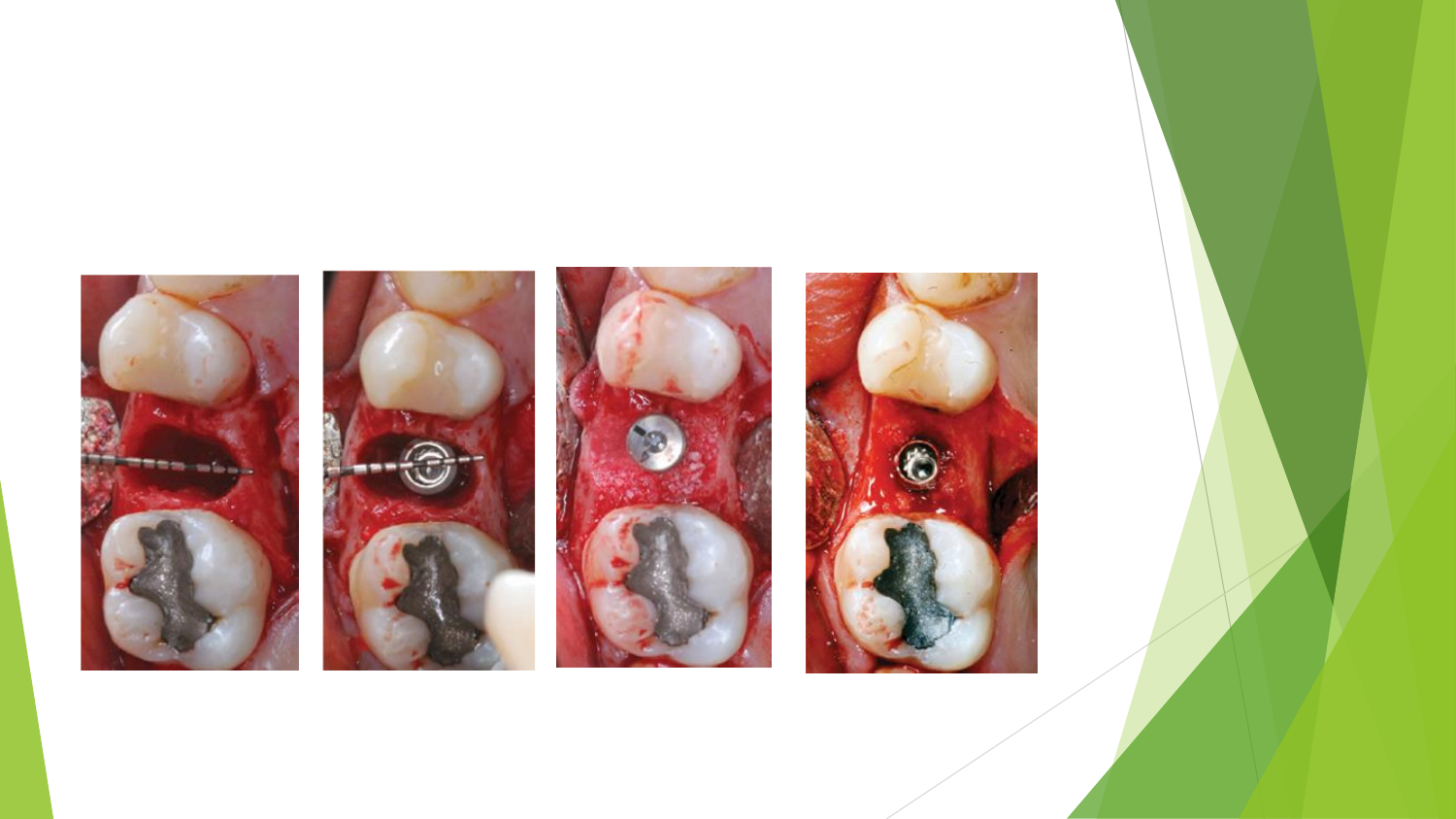





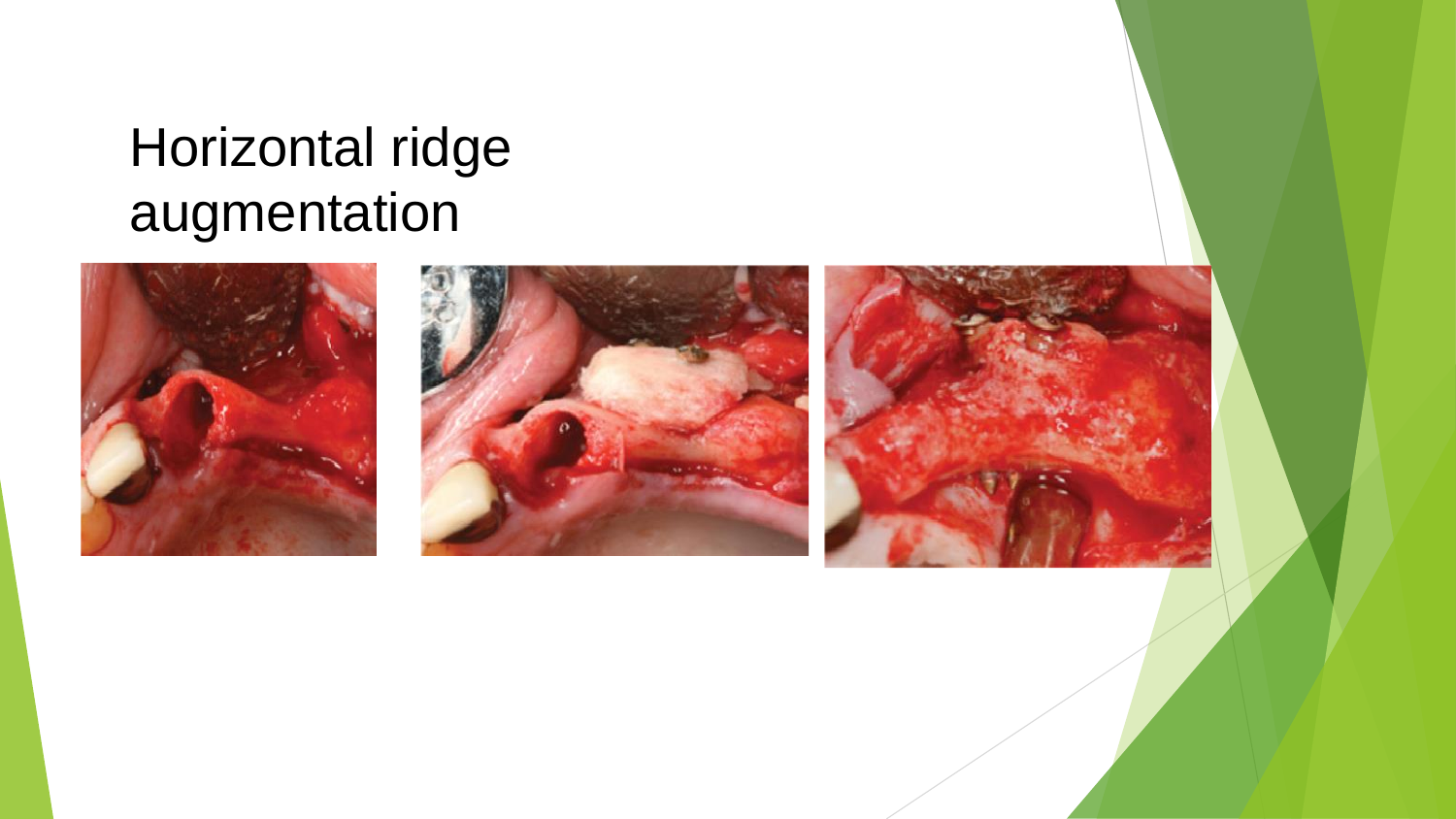## Horizontal ridge augmentation

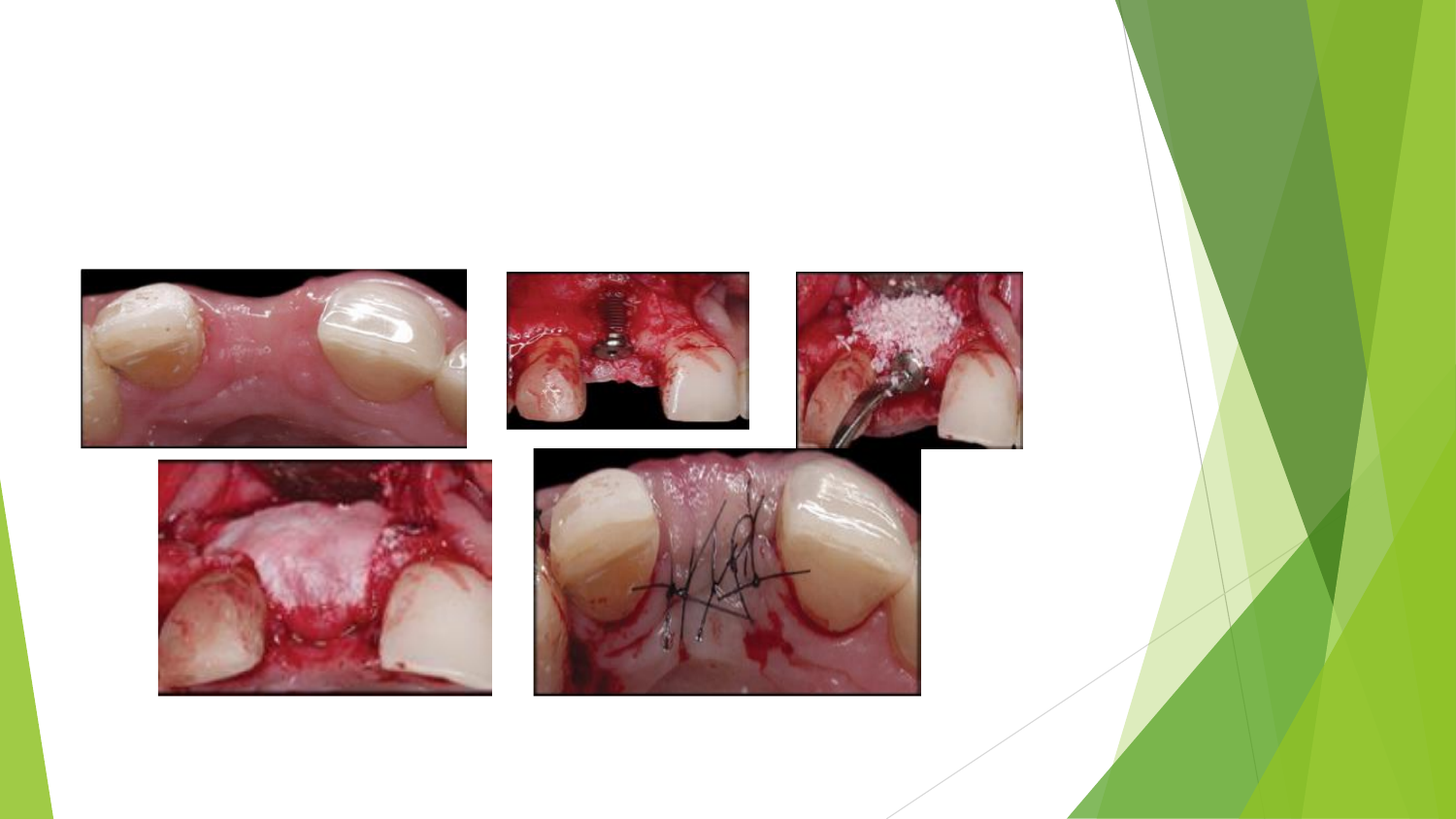